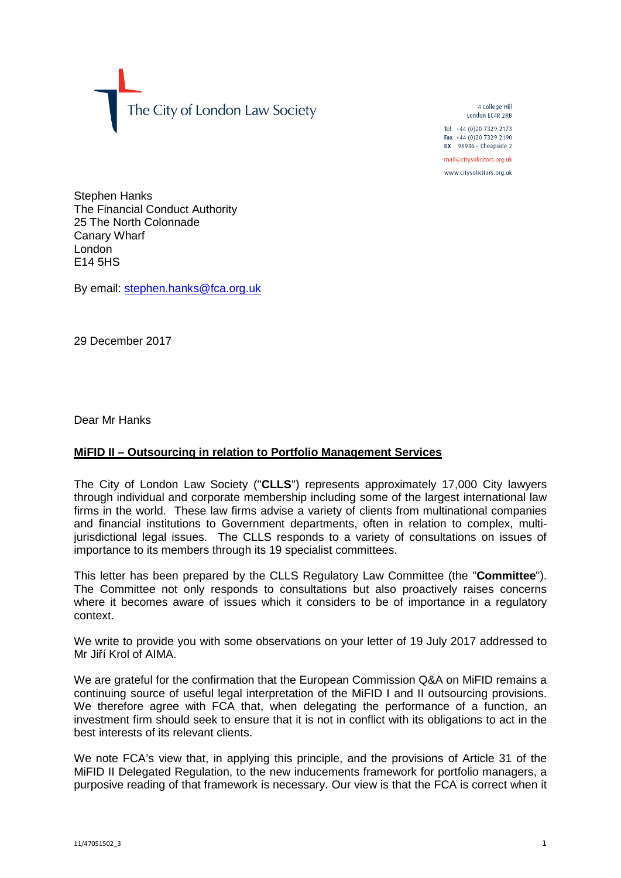

4 College Hill London FC4R 2RB

Tel +44 (0)20 7329 2173 Fax +44 (0)20 7329 2190 DX  $98936$  - Cheapside 2

mail@citysolicitors.org.uk www.citysolicitors.org.uk

Stephen Hanks The Financial Conduct Authority 25 The North Colonnade Canary Wharf London E14 5HS

By email: [stephen.hanks@fca.org.uk](mailto:stephen.hanks@fca.org.uk)

29 December 2017

Dear Mr Hanks

## **MiFID II – Outsourcing in relation to Portfolio Management Services**

The City of London Law Society ("**CLLS**") represents approximately 17,000 City lawyers through individual and corporate membership including some of the largest international law firms in the world. These law firms advise a variety of clients from multinational companies and financial institutions to Government departments, often in relation to complex, multijurisdictional legal issues. The CLLS responds to a variety of consultations on issues of importance to its members through its 19 specialist committees.

This letter has been prepared by the CLLS Regulatory Law Committee (the "**Committee**"). The Committee not only responds to consultations but also proactively raises concerns where it becomes aware of issues which it considers to be of importance in a regulatory context.

We write to provide you with some observations on your letter of 19 July 2017 addressed to Mr Jiří Krol of AIMA.

We are grateful for the confirmation that the European Commission Q&A on MiFID remains a continuing source of useful legal interpretation of the MiFID I and II outsourcing provisions. We therefore agree with FCA that, when delegating the performance of a function, an investment firm should seek to ensure that it is not in conflict with its obligations to act in the best interests of its relevant clients.

We note FCA's view that, in applying this principle, and the provisions of Article 31 of the MiFID II Delegated Regulation, to the new inducements framework for portfolio managers, a purposive reading of that framework is necessary. Our view is that the FCA is correct when it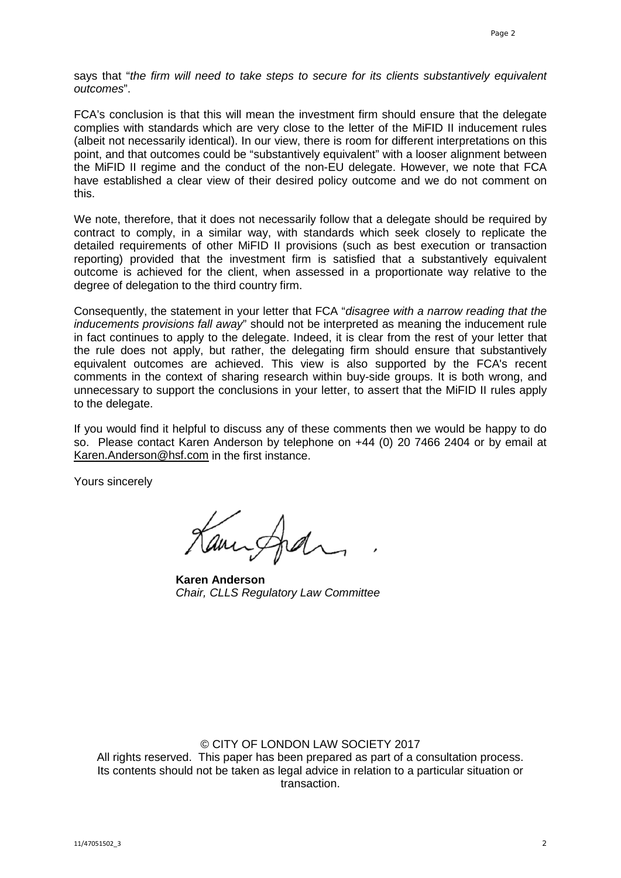says that "*the firm will need to take steps to secure for its clients substantively equivalent outcomes*".

FCA's conclusion is that this will mean the investment firm should ensure that the delegate complies with standards which are very close to the letter of the MiFID II inducement rules (albeit not necessarily identical). In our view, there is room for different interpretations on this point, and that outcomes could be "substantively equivalent" with a looser alignment between the MiFID II regime and the conduct of the non-EU delegate. However, we note that FCA have established a clear view of their desired policy outcome and we do not comment on this.

We note, therefore, that it does not necessarily follow that a delegate should be required by contract to comply, in a similar way, with standards which seek closely to replicate the detailed requirements of other MiFID II provisions (such as best execution or transaction reporting) provided that the investment firm is satisfied that a substantively equivalent outcome is achieved for the client, when assessed in a proportionate way relative to the degree of delegation to the third country firm.

Consequently, the statement in your letter that FCA "*disagree with a narrow reading that the inducements provisions fall away*" should not be interpreted as meaning the inducement rule in fact continues to apply to the delegate. Indeed, it is clear from the rest of your letter that the rule does not apply, but rather, the delegating firm should ensure that substantively equivalent outcomes are achieved. This view is also supported by the FCA's recent comments in the context of sharing research within buy-side groups. It is both wrong, and unnecessary to support the conclusions in your letter, to assert that the MiFID II rules apply to the delegate.

If you would find it helpful to discuss any of these comments then we would be happy to do so. Please contact Karen Anderson by telephone on +44 (0) 20 7466 2404 or by email at [Karen.Anderson@hsf.com](mailto:Karen.Anderson@hsf.com) in the first instance.

Yours sincerely

amingha

**Karen Anderson** *Chair, CLLS Regulatory Law Committee*

## © CITY OF LONDON LAW SOCIETY 2017

All rights reserved. This paper has been prepared as part of a consultation process. Its contents should not be taken as legal advice in relation to a particular situation or transaction.